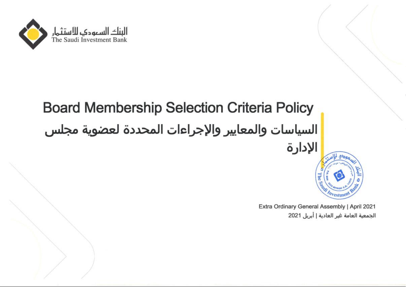

# Board Membership Selection Criteria Policy السياسات والمعايير واإلجراءات المحددة لعضوية مجلس الإدارة Ti Investment Ba

Extra Ordinary General Assembly | April 2021 الجمعية العامة غير العادية | أبريل 2021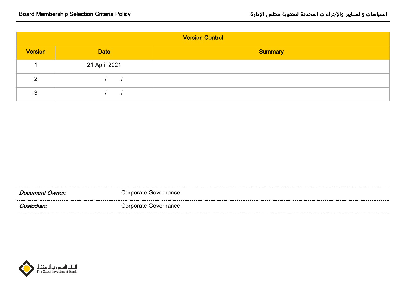| <b>Version Control</b> |               |                |
|------------------------|---------------|----------------|
| <b>Version</b>         | <b>Date</b>   | <b>Summary</b> |
|                        | 21 April 2021 |                |
| റ                      |               |                |
|                        |               |                |

| Document Owner: | Corporate Governance |
|-----------------|----------------------|
| Custodian:      | Corporate Governance |

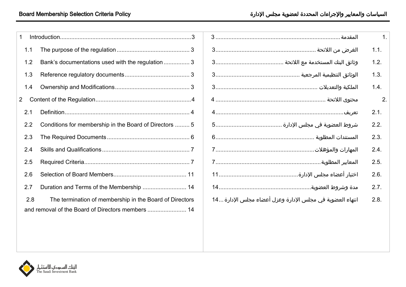| 1   |                                                         |  |
|-----|---------------------------------------------------------|--|
| 1.1 |                                                         |  |
| 1.2 | Bank's documentations used with the regulation  3       |  |
| 1.3 |                                                         |  |
| 1.4 |                                                         |  |
| 2   |                                                         |  |
| 2.1 |                                                         |  |
| 2.2 | Conditions for membership in the Board of Directors  5  |  |
| 2.3 |                                                         |  |
| 2.4 |                                                         |  |
| 2.5 |                                                         |  |
| 2.6 |                                                         |  |
| 2.7 | Duration and Terms of the Membership  14                |  |
| 2.8 | The termination of membership in the Board of Directors |  |
|     |                                                         |  |

|                                                           | $\overline{\phantom{1}}$    |
|-----------------------------------------------------------|-----------------------------|
|                                                           | 1.1.                        |
|                                                           | 1.2.                        |
|                                                           | 1.3.                        |
|                                                           | 1.4.                        |
|                                                           | $\overline{\phantom{a}}$ 2. |
|                                                           | 2.1.                        |
|                                                           | 2.2.                        |
|                                                           | 2.3.                        |
|                                                           | 2.4.                        |
|                                                           | 2.5.                        |
|                                                           | 2.6.                        |
|                                                           | 2.7.                        |
| انتهاء العضوية في مجلس الإدارة وعزل أعضاء مجلس الإدارة 14 | 2.8.                        |
|                                                           |                             |

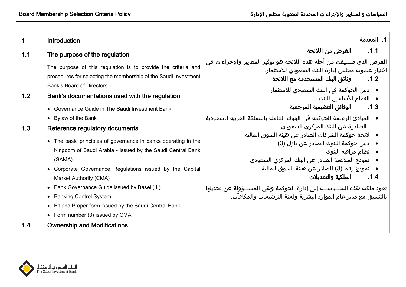<span id="page-3-8"></span><span id="page-3-7"></span><span id="page-3-6"></span><span id="page-3-5"></span><span id="page-3-3"></span><span id="page-3-2"></span><span id="page-3-1"></span><span id="page-3-0"></span>

| 1   | <b>Introduction</b>                                                                                                                                            | l . المقدمة                                                                                                                                                              |
|-----|----------------------------------------------------------------------------------------------------------------------------------------------------------------|--------------------------------------------------------------------------------------------------------------------------------------------------------------------------|
| 1.1 | The purpose of the regulation                                                                                                                                  | .1.1<br>الغرض من اللائحة                                                                                                                                                 |
|     | The purpose of this regulation is to provide the criteria and<br>procedures for selecting the membership of the Saudi Investment<br>Bank's Board of Directors. | الغرض الذي صـــيغت من أجله هذه اللائحة هو توفير المعايير والإجراءات في<br>ٰ اختيار عضوية مجلس إدارة البنك السعودي للاستثمار.<br>وثائق البنك المستخدمة مع اللائحة<br>.1.2 |
| 1.2 | Bank's documentations used with the regulation                                                                                                                 | ●   دليل الحوكمة في البنك السعودي للاستثمار<br>● النظام الأساسي للبنك                                                                                                    |
|     | • Governance Guide in The Saudi Investment Bank                                                                                                                | 1.3.        الوثائق التنظيمية المرجعية                                                                                                                                   |
|     | • Bylaw of the Bank                                                                                                                                            | ●   المبادئ الرئيسة للحوكمة في البنوك العاملة بالمملكة العربية السعودية                                                                                                  |
| 1.3 | Reference regulatory documents                                                                                                                                 | –الصادرة عن البنك المركزي السعودي<br>●   لائحة حوكمة الشركات الصادر عن هيئة السوق المالية                                                                                |
|     | • The basic principles of governance in banks operating in the                                                                                                 | ● دليل حوكمة البنوك الصادر عن بازل (3)                                                                                                                                   |
|     | Kingdom of Saudi Arabia - issued by the Saudi Central Bank<br>(SAMA)                                                                                           | ● نظام مراقبة البنوك<br>●   نموذج الملاءمة الصادر عن البنك المركزي السعودي                                                                                               |
|     | • Corporate Governance Regulations issued by the Capital                                                                                                       | ●   نموذج رقم (3) الصادر عن هيئة السوق المالية                                                                                                                           |
|     | Market Authority (CMA)                                                                                                                                         | الملكية والتعديلات<br>.1.4                                                                                                                                               |
|     | • Bank Governance Guide issued by Basel (III)                                                                                                                  | تعود ملكية هذه الســـياســـة إلى إدارة الحوكمة وهي المســـؤولة عن تحديثها                                                                                                |
|     | • Banking Control System                                                                                                                                       | بالتنسيق مع مدير عام الموارد البشرية ولجنة الترشيحات والمكافآت.                                                                                                          |
|     | • Fit and Proper form issued by the Saudi Central Bank                                                                                                         |                                                                                                                                                                          |
|     | • Form number (3) issued by CMA                                                                                                                                |                                                                                                                                                                          |
| 1.4 | <b>Ownership and Modifications</b>                                                                                                                             |                                                                                                                                                                          |

<span id="page-3-9"></span><span id="page-3-4"></span>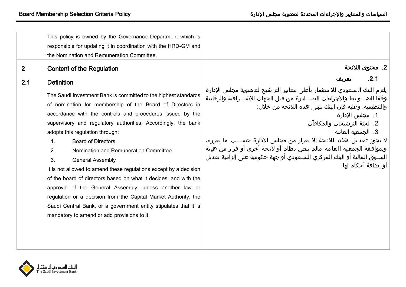<span id="page-4-3"></span><span id="page-4-2"></span><span id="page-4-1"></span><span id="page-4-0"></span>

|              | This policy is owned by the Governance Department which is<br>responsible for updating it in coordination with the HRD-GM and<br>the Nomination and Remuneration Committee.                                                                                                                                                                                                                                                                                                                                                                                                                                                                                                                                                                                                                                            |                                                                                                                                                                                                                                                                                                                                                                                                                                                                                                                                            |
|--------------|------------------------------------------------------------------------------------------------------------------------------------------------------------------------------------------------------------------------------------------------------------------------------------------------------------------------------------------------------------------------------------------------------------------------------------------------------------------------------------------------------------------------------------------------------------------------------------------------------------------------------------------------------------------------------------------------------------------------------------------------------------------------------------------------------------------------|--------------------------------------------------------------------------------------------------------------------------------------------------------------------------------------------------------------------------------------------------------------------------------------------------------------------------------------------------------------------------------------------------------------------------------------------------------------------------------------------------------------------------------------------|
| $\mathbf{2}$ | <b>Content of the Regulation</b>                                                                                                                                                                                                                                                                                                                                                                                                                                                                                                                                                                                                                                                                                                                                                                                       | 2. محتوى اللائحة                                                                                                                                                                                                                                                                                                                                                                                                                                                                                                                           |
| 2.1          | <b>Definition</b>                                                                                                                                                                                                                                                                                                                                                                                                                                                                                                                                                                                                                                                                                                                                                                                                      | .2.1<br>تعريف                                                                                                                                                                                                                                                                                                                                                                                                                                                                                                                              |
|              | The Saudi Investment Bank is committed to the highest standards<br>of nomination for membership of the Board of Directors in<br>accordance with the controls and procedures issued by the<br>supervisory and regulatory authorities. Accordingly, the bank<br>adopts this regulation through:<br><b>Board of Directors</b><br>$\mathbf{1}$ .<br>Nomination and Remuneration Committee<br>2.<br>3.<br><b>General Assembly</b><br>It is not allowed to amend these regulations except by a decision<br>of the board of directors based on what it decides, and with the<br>approval of the General Assembly, unless another law or<br>regulation or a decision from the Capital Market Authority, the<br>Saudi Central Bank, or a government entity stipulates that it is<br>mandatory to amend or add provisions to it. | يلتزم البنك السعودي للا ستثمار بأعلى معايير التر شيح لع ضوية مجلس الإدارة<br>وفقا للضــوابط والإجراءات الصـــادرة من قبل الجهات الإشـــرافية والرقابية<br>والتنظيمية، وعليه فإن البنك يتبنى هذه اللائحة من خلال:<br>1.  مجلس الإدارة<br>2. لجنة الترشيحات والمكافآت<br>3. الجمعية العامة<br>لا يجوز تعديل هذه اللائحة إلا بقرار من مجلس الإدارة حســـب ما يقرره،<br>وبموافقة الجمعية العامة مالم ينص نظام أو لائحة أخرى أو قرار من هيئة<br>السـوق المالية أو البنك المركزي السـعودي أو جهة حكومية على إلزامية تعديل<br>أو إضافة أحكام لها. |
|              |                                                                                                                                                                                                                                                                                                                                                                                                                                                                                                                                                                                                                                                                                                                                                                                                                        |                                                                                                                                                                                                                                                                                                                                                                                                                                                                                                                                            |

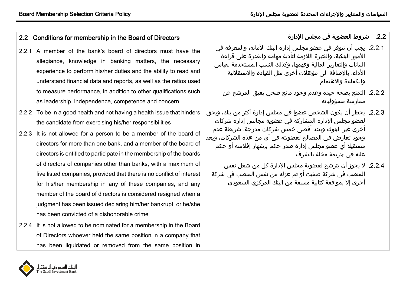# <span id="page-5-0"></span>2.2 Conditions for membership in the Board of Directors

- 2.2.1 A member of the bank's board of directors must have the allegiance, knowledge in banking matters, the necessary experience to perform his/her duties and the ability to read and understand financial data and reports, as well as the ratios used to measure performance, in addition to other qualifications such as leadership, independence, competence and concern
- 2.2.2 To be in a good health and not having a health issue that hinders the candidate from exercising his/her responsibilities
- 2.2.3 It is not allowed for a person to be a member of the board of directors for more than one bank, and a member of the board of directors is entitled to participate in the membership of the boards of directors of companies other than banks, with a maximum of five listed companies, provided that there is no conflict of interest for his/her membership in any of these companies, and any member of the board of directors is considered resigned when a judgment has been issued declaring him/her bankrupt, or he/she has been convicted of a dishonorable crime
- 2.2.4 It is not allowed to be nominated for a membership in the Board of Directors whoever held the same position in a company that has been liquidated or removed from the same position in

# <span id="page-5-1"></span>.22. شروط العضوية في مجلس الإدارة

- 2.2.1. يجب أن تتوفر في عضو مجلس إدارة البنك الأمانة، والمعرفة في الأمور البنكية، والخبرة اللازمة لتأدية مهامه والقدرة على قراءة البيانات والتقارير المالية وفهمها، وكذلك النس المستخدمة لقياس الأداء، بالإضافة الى مؤهلات أخرى مثل القيادة والاستقلالية والكفاءة واالهتمام
	- 2.2.2. التمتع بصحة جيدة وعدم وجود مانع صحي يعيق المرشح عن ممارسة مسؤولياته
- يحظر أن يكون الشخص عضوا في مجلس إدارة أكثر من بنك، ويحق لعضو مجلس اإلدارة المشاركة في عضوية مجالس إدارة شركات أخرى غير البنوك وبحد أقصى خمس شركات مدرجة، شريطة عدم وجود تعارض في المصالح لعضويته في أي من هذه الشركات، ويعد مستقيال أي عضو مجلس إدارة صدر حكم بإشهار إفالسذ أو حكم عليه في جريمة مخلة بالشرف
	- 2.2.4. لا يجوز أن يترشح لعضوية مجلس الإدارة كل من شغل نفس المنصب في شركة صفيت أو تم عزله من نفس المنصب في شركة أخرى إال بموافقة كتابية مسبقة من البنك المركزي السعودي

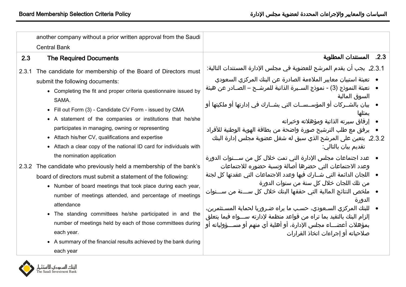<span id="page-6-1"></span><span id="page-6-0"></span>

|       | another company without a prior written approval from the Saudi                                                                                                                                                                                                                                                                                                                                                                                                                                                                                                                                                                                                                                                                                                                                                                                                                                                                                                                                                           |                                                                                                                                                                                                                                                                                                                                                                                                                                                                                                                                                                                                                                                                                                                                                                                                                                                                                                                                                                                                                                                                                                                                                        |
|-------|---------------------------------------------------------------------------------------------------------------------------------------------------------------------------------------------------------------------------------------------------------------------------------------------------------------------------------------------------------------------------------------------------------------------------------------------------------------------------------------------------------------------------------------------------------------------------------------------------------------------------------------------------------------------------------------------------------------------------------------------------------------------------------------------------------------------------------------------------------------------------------------------------------------------------------------------------------------------------------------------------------------------------|--------------------------------------------------------------------------------------------------------------------------------------------------------------------------------------------------------------------------------------------------------------------------------------------------------------------------------------------------------------------------------------------------------------------------------------------------------------------------------------------------------------------------------------------------------------------------------------------------------------------------------------------------------------------------------------------------------------------------------------------------------------------------------------------------------------------------------------------------------------------------------------------------------------------------------------------------------------------------------------------------------------------------------------------------------------------------------------------------------------------------------------------------------|
|       | <b>Central Bank</b>                                                                                                                                                                                                                                                                                                                                                                                                                                                                                                                                                                                                                                                                                                                                                                                                                                                                                                                                                                                                       |                                                                                                                                                                                                                                                                                                                                                                                                                                                                                                                                                                                                                                                                                                                                                                                                                                                                                                                                                                                                                                                                                                                                                        |
| 2.3   | <b>The Required Documents</b>                                                                                                                                                                                                                                                                                                                                                                                                                                                                                                                                                                                                                                                                                                                                                                                                                                                                                                                                                                                             | 2.3. المستندات المطلوبة                                                                                                                                                                                                                                                                                                                                                                                                                                                                                                                                                                                                                                                                                                                                                                                                                                                                                                                                                                                                                                                                                                                                |
| 2.3.1 | The candidate for membership of the Board of Directors must<br>submit the following documents:<br>• Completing the fit and proper criteria questionnaire issued by<br>SAMA.<br>• Fill out Form (3) - Candidate CV Form - issued by CMA<br>• A statement of the companies or institutions that he/she<br>participates in managing, owning or representing<br>• Attach his/her CV, qualifications and expertise<br>• Attach a clear copy of the national ID card for individuals with<br>the nomination application<br>2.3.2 The candidate who previously held a membership of the bank's<br>board of directors must submit a statement of the following:<br>• Number of board meetings that took place during each year,<br>number of meetings attended, and percentage of meetings<br>attendance<br>• The standing committees he/she participated in and the<br>number of meetings held by each of those committees during<br>each year.<br>• A summary of the financial results achieved by the bank during<br>each year | 2.3.1. يجب ان يقدم المرشح للعضوية في مجلس الإدارة المستندات التالية:<br>●    تعبئة استبيان معايير الملاءمة الصادرة عن البنك المركزي السعودي<br>●    تعبئة النموذج (3) - نموذج الســيرة الذاتية للمرشــح – الصــادر عن هيئة<br>السوق المالية<br>●   بيان بالشــركات أو المؤســســات التي يشــارك في إدارتها أو ملكيتها أو<br>يمثلها<br>● _ إرفاق سيرته الذاتية ومؤهلاته وخبراته<br>●   يرفق مع طلب الترشيح صورة واضحة من بطاقة الهوية الوطنية للأفراد<br>2.3.2. يتعين على المرشح الذي سبق له شغل عضوية مجلس إدارة البنك<br>تقديم بيان بالتالي:<br>●   عدد اجتماعات مجلس الإدارة التي تمت خلال كل من ســـنوات الدورة<br>وعدد الاجتماعات التي حضرها أصالة ونسبة حضوره للاجتماعات<br>●   اللجان الدائمة التي شــارك فيها وعدد الاجتماعات التي عقدتها كل لجنة<br>من تلك اللجان خلال كل سنة من سنوات الدورة<br>●   ملخص النتائج المالية التي حققها البنك خلال كل ســـنة من ســـنوات<br>الدورة<br>●    للبنك المركزي السـعودي، حسـب ما يراه ضـروريا لحماية المسـتثمرين،<br>إلزام البنك بالتقيد بما تراه من قواعد منظمة لإدارته ســـواء فيما يتعلق<br>بمؤهلات أعضـــاء مجلس الإدارة، أو أهلية أي منهم أو مســـؤولياته او<br>صلاحياته أو إجراءات اتخاذ القرارات |

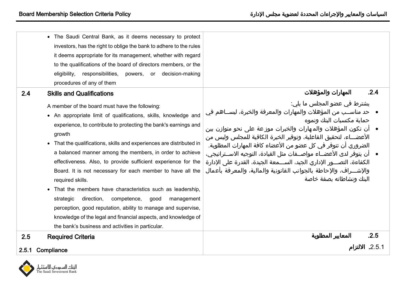<span id="page-7-2"></span><span id="page-7-0"></span>

|       | • The Saudi Central Bank, as it deems necessary to protect<br>investors, has the right to oblige the bank to adhere to the rules<br>it deems appropriate for its management, whether with regard<br>to the qualifications of the board of directors members, or the<br>responsibilities,<br>decision-making<br>eligibility,<br>powers,<br>or<br>procedures of any of them                                                                                                                                                                                                                                                                                                                                                                                                                                    |                                                                                                                                                                                                                                                                                                                                                                                                                                                                                                                                                                                                   |
|-------|--------------------------------------------------------------------------------------------------------------------------------------------------------------------------------------------------------------------------------------------------------------------------------------------------------------------------------------------------------------------------------------------------------------------------------------------------------------------------------------------------------------------------------------------------------------------------------------------------------------------------------------------------------------------------------------------------------------------------------------------------------------------------------------------------------------|---------------------------------------------------------------------------------------------------------------------------------------------------------------------------------------------------------------------------------------------------------------------------------------------------------------------------------------------------------------------------------------------------------------------------------------------------------------------------------------------------------------------------------------------------------------------------------------------------|
| 2.4   | <b>Skills and Qualifications</b>                                                                                                                                                                                                                                                                                                                                                                                                                                                                                                                                                                                                                                                                                                                                                                             | .2.4<br>المهارات والمؤهلات                                                                                                                                                                                                                                                                                                                                                                                                                                                                                                                                                                        |
|       | A member of the board must have the following:<br>• An appropriate limit of qualifications, skills, knowledge and<br>experience, to contribute to protecting the bank's earnings and<br>growth<br>• That the qualifications, skills and experiences are distributed in<br>a balanced manner among the members, in order to achieve<br>effectiveness. Also, to provide sufficient experience for the<br>Board. It is not necessary for each member to have all the<br>required skills.<br>• That the members have characteristics such as leadership,<br>strategic<br>direction,<br>competence,<br>good<br>management<br>perception, good reputation, ability to manage and supervise,<br>knowledge of the legal and financial aspects, and knowledge of<br>the bank's business and activities in particular. | يشترط في عضو المجلس ما يلي:<br>●   حد مناســب من المؤهلات والمهارات والمعرفة والخبرة، ليســاهم في<br>حماية مكتسبات البنك ونموه<br>●   أن تكون المؤهلات والمـهارات والخبرات موزعة على نحو متوازن بين<br>الأعضـــاء، لتحقيق الفاعلية، وتوفير الخبرة الكافية للمجلس وليس من<br>الضروري أن تتوفر في كل عضو من الأعضاء كافة المهارات المطلوبة.<br>●   أن يتوفر لدى الأعضــاء مواصــفات مثل القيادة، التوجيه الاســتراتيجي،<br>الكفاءة، التصـــور الإداري الجيد، الســـمعة الجيدة، القدرة على الإدارة<br>والإشـــراف، والإحاطة بالجوانب القانونية والمالية، والمعرفة بأعمال<br>البنك ونشاطاته بصفة خاصة |
| 2.5   | <b>Required Criteria</b>                                                                                                                                                                                                                                                                                                                                                                                                                                                                                                                                                                                                                                                                                                                                                                                     | .2.5<br>المعايير المطلوبة                                                                                                                                                                                                                                                                                                                                                                                                                                                                                                                                                                         |
| 2.5.1 | Compliance                                                                                                                                                                                                                                                                                                                                                                                                                                                                                                                                                                                                                                                                                                                                                                                                   | 2.5.1. الالتزام                                                                                                                                                                                                                                                                                                                                                                                                                                                                                                                                                                                   |

<span id="page-7-3"></span><span id="page-7-1"></span>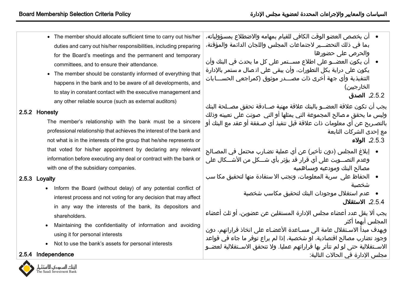- The member should allocate sufficient time to carry out his/her duties and carry out his/her responsibilities, including preparing for the Board's meetings and the permanent and temporary committees, and to ensure their attendance.
- The member should be constantly informed of everything that happens in the bank and to be aware of all developments, and to stay in constant contact with the executive management and any other reliable source (such as external auditors)

#### 2.5.2 Honesty

The member's relationship with the bank must be a sincere professional relationship that achieves the interest of the bank and not what is in the interests of the group that he/she represents or that voted for his/her appointment by declaring any relevant information before executing any deal or contract with the bank or with one of the subsidiary companies.

## 2.5.3 Loyalty

- Inform the Board (without delay) of any potential conflict of interest process and not voting for any decision that may affect in any way the interests of the bank, its depositors and shareholders.
- Maintaining the confidentiality of information and avoiding using it for personal interests
- Not to use the bank's assets for personal interests

## 2.5.4 Independence

النناد السمودى للاستثمار  $\frac{1}{2}$  he Saudi Investment Bank

- أن يخصص العضو الوقت الكافي للقيام بمهامه والاضطلاع بمسؤولياته، بما في ذلك التحضـــير لاجتماعات المجلس واللجان الدائمة والمؤقتة، والحرص علة حضورها
- أن يكون العضــو على اطلاع مســتمر على كل ما يحدث في البنك وأن يكون على دراية بكل التطورات، وأن يبقى على اتـصال مـستمر بالإدارة التنفيذية وأي جهة أخرى ذات مصـــدر موثوق (كمراجعي الحســـابات الخارجيين)

2.5.2. الصدق

يجب أن تكون علاقة العضــو بالبنك علاقة مهنية صــادقة تحقق مصــلحة البنك وليس ما يحقق مصالح المجموعة التي يمثلها أو التي صوتت على تعيينه وذلك بالتصيريح عن أي معلومات ذات عالقة قبل تنفيذ أي صيفقة أو عقد مع البنك أو مع إحدى الشركات التابعة

الوالء

- إبلاغ المجلس (دون تأخير) عن أي عملية تضـارب محتمل في المصـالح وعدم التصـــويت على أي قرار قد يؤثر بأي شـــكل من الأشـــكال على مصالح البنك ومودعيه ومساهميه
- الحفاظ على سرية المعلومات، وتجنب الا ستفادة منها لتحقيق مكا سب شخصية
	- \_عدم استغلال موجودات البنك لتحقيق مكاسب شخصية

2.5.4. الاستقلال

يجب ألا يقل عدد أعضاء مجلس الإدارة المستقلين عن عضوين، أو ثلث أعضاء المجلس ايهما اكثر ويهدف مبدأ الاسـتقلال عامة الى مسـاعدة الأعضـاء على اتخاذ قراراتهم، دون وجود تضارم مصالح اقتصادية، او شخصية، إذا لم يراع توفر ما جاء في قواعد

الاســتقلالية حتى لو لم تتأثر بها قراراتهم عمليا. ولا تتحقق الاســتقلالية لعضــو مجلس الإدارة في الحالات التالية: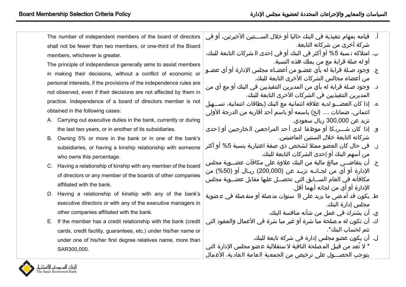| The number of independent members of the board of directors         | ّ قيامه بمهام تنفيذية في البنك حاليا أو خلال الســـنتين الأخيرتين، أو في<br>$\Box$ |
|---------------------------------------------------------------------|------------------------------------------------------------------------------------|
| shall not be fewer than two members, or one-third of the Board      | شركة أخرى من شركاته التابعة.                                                       |
| members, whichever is greater.                                      | ب. امتلاكه نـسبة 5% أو أكثر في البنك أو في إحدى الـشركات التابعة للبنك،            |
| The principle of independence generally aims to assist members      | أو له صلة قرابة مع من يملك هذه النسبة.                                             |
| in making their decisions, without a conflict of economic or        | ج.  وجود صـلة قرابة له بأي عضـو من أعضـاء مجلس الإدارة أو أي عضـو                  |
| personal interests, if the provisions of the independence rules are | من أعضاء مجالس الشركات الأخرى التابعة للبنك.                                       |
| not observed, even if their decisions are not affected by them in   | د.   وجود صـلة قرابة له بأي من المديرين التنفيذيين في البنك أو مع أي من            |
|                                                                     | المديرين التنفيذيين في الشركات الأخرى التابعة للبنك.                               |
| practice. Independence of a board of directors member is not        | ه.   إذا كان العضــو لديه علاقة ائتمانية مع البنك (بطاقات ائتمانية، تســهيل        |
| obtained in the following cases:                                    | ائتماني، ضمانات  إلخ) باسمه أو باسم أحد أقاربه من الدرجة الأولى                    |
| A. Carrying out executive duties in the bank, currently or during   | تزيد عن 300,000 ريال سعودي.                                                        |
| the last two years, or in another of its subsidiaries.              | و.  إذا كان شـــريكا أو موظفا  لدى أحد المراجعين الخارجيين أو إحدى                 |
| B. Owning 5% or more in the bank or in one of the bank's            | شركاته التابعة خلال السنتين الماضيتين.                                             |
| subsidiaries, or having a kinship relationship with someone         | ز.   في حال كان العضو ممثلا لشخص ذي صفة اعتبارية بنسبة 5% أو أكثر                  |
| who owns this percentage.                                           | من أسهم البنك أو إحدى الشركات التابعة للبنك.                                       |
| C. Having a relationship of kinship with any member of the board    | ح.  أن يتقاضــى مبالغ مالية من البنك علاوة على مكافآت عضــوية مجلس                 |
| of directors or any member of the boards of other companies         | الإدارة أو أي من لجـانـه تزيـد عن (200,000) ريـال او (50%) من                      |
| affiliated with the bank.                                           | مكافأته في العام الســابق التي تحصــل عليها مقابل عضــوية مجلس                     |
| D. Having a relationship of kinship with any of the bank's          | الإدارة أو أي من لجانه أيهما أقل.                                                  |
| executive directors or with any of the executive managers in        | ط. يكون قد أمضى ما يزيد على 9 سنوات متصلة أو منفصلة في عضوية                       |
| other companies affiliated with the bank.                           | مجلس إدارة البنك.<br>ي. أن يشترك في عمل من شأنه منافسة البنك.                      |
| E. If the member has a credit relationship with the bank (credit    | ك. أن تكون له مصلحة مبا شرة أو غير مبا شرة في الأعمال والعقود التي                 |
|                                                                     | تتم لحساب البنك*.                                                                  |
| cards, credit facility, guarantees, etc.) under his/her name or     | ل.  ان يكون عضو مجلس إدارة في شركة تابعة للبنك.                                    |
| under one of his/her first degree relatives name, more than         | * لا تُعد من قبيل المصلحة النافية لا ستقلالية عضو مجلس الإدارة التي                |
| SAR300,000.                                                         | يتوجب الحصـــول على ترخيص من الجمعية العامة العادية، الأعمال                       |
|                                                                     |                                                                                    |
| البناد السعودي للاستثمار                                            |                                                                                    |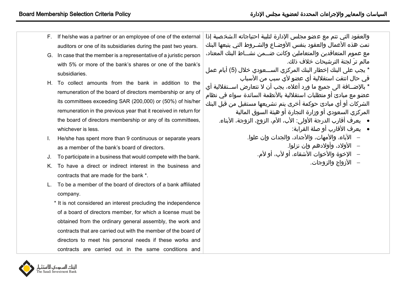- F. If he/she was a partner or an employee of one of the external auditors or one of its subsidiaries during the past two years.
- G. In case that the member is a representative of a juristic person with 5% or more of the bank's shares or one of the bank's subsidiaries.
- H. To collect amounts from the bank in addition to the remuneration of the board of directors membership or any of its committees exceeding SAR (200,000) or (50%) of his/her remuneration in the previous year that it received in return for the board of directors membership or any of its committees, whichever is less.
- I. He/she has spent more than 9 continuous or separate years as a member of the bank's board of directors.
- J. To participate in a business that would compete with the bank.
- K. To have a direct or indirect interest in the business and contracts that are made for the bank \*.
- L. To be a member of the board of directors of a bank affiliated company.
	- \* It is not considered an interest precluding the independence of a board of directors member, for which a license must be obtained from the ordinary general assembly, the work and contracts that are carried out with the member of the board of directors to meet his personal needs if these works and contracts are carried out in the same conditions and

والعقود التي تتم مع عضو مجلس الإدارة لتلبية احتياجاته الشخصية إذا تمت هذه الأعمال والعقود بنفس الأوضـاع والشـروط التي يتبعها البنك مع عموم المتعاقدين والمتعاملين وكانن ضيييمن نشييياط البنك المعتاد، مالم ترَ لجنة الترشيحات خالف ذلك.

\* يجب على البنك إخطار البنك المركزي الســـعودي خلال (5) أيام عمل في حال انتفت استقلالية أي عضو لأي سبب من الأسباب \* بالإضــافة الى جميع ما ورد أعلاه، يجب أن لا تتعارض اســتقلالية أي عضو مع مبادئ أو متطلبات استقلالية بالأنظمة السائدة سواء في نظام

الشركات أو أي مبادئ حوكمة أخرى يتم تشريعها مستقبل من قبل البنك المركزي السعودي أو وزارة التجارة أو هيئة السوق المالية

- \_ بعرف أقارب الدرجة الأولى: الأب، الأم، الزوج، الزوجة، الأبناء.
	- \_ بعرف الأقارب أو صلة القرابة:
	- الآباء، والأمهات، والأجداد، والجدات وإن علوا.
		- الأولاد، وأولادهم وإن نزلوا.
		- الإخوة والأخوات الأشقاء، أو لأب، أو لأم.
			- الأزواج والزوجات.

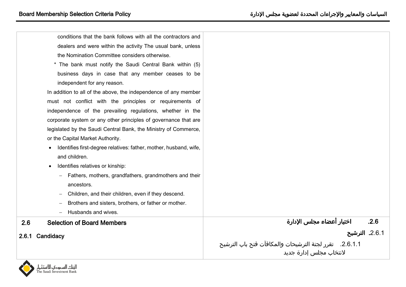| conditions that the bank follows with all the contractors and                  |                                                           |
|--------------------------------------------------------------------------------|-----------------------------------------------------------|
| dealers and were within the activity The usual bank, unless                    |                                                           |
| the Nomination Committee considers otherwise.                                  |                                                           |
| * The bank must notify the Saudi Central Bank within (5)                       |                                                           |
| business days in case that any member ceases to be                             |                                                           |
| independent for any reason.                                                    |                                                           |
| In addition to all of the above, the independence of any member                |                                                           |
| must not conflict with the principles or requirements of                       |                                                           |
| independence of the prevailing regulations, whether in the                     |                                                           |
| corporate system or any other principles of governance that are                |                                                           |
| legislated by the Saudi Central Bank, the Ministry of Commerce,                |                                                           |
| or the Capital Market Authority.                                               |                                                           |
| Identifies first-degree relatives: father, mother, husband, wife,<br>$\bullet$ |                                                           |
| and children.                                                                  |                                                           |
| Identifies relatives or kinship:<br>$\bullet$                                  |                                                           |
| Fathers, mothers, grandfathers, grandmothers and their                         |                                                           |
| ancestors.                                                                     |                                                           |
| Children, and their children, even if they descend.                            |                                                           |
| Brothers and sisters, brothers, or father or mother.                           |                                                           |
| Husbands and wives.                                                            |                                                           |
| <b>Selection of Board Members</b><br>2.6                                       | اختيار أعضاء مجلس الإدارة<br>.2.6                         |
| 2.6.1 Candidacy                                                                | 2.6.1. الترشيح                                            |
|                                                                                | 2.6.1.1.    تقرر لجنة الترشيحات والمكافآت فتح باب الترشيح |
|                                                                                | لانتخاب مجلس إدارة جديد                                   |

<span id="page-11-1"></span><span id="page-11-0"></span>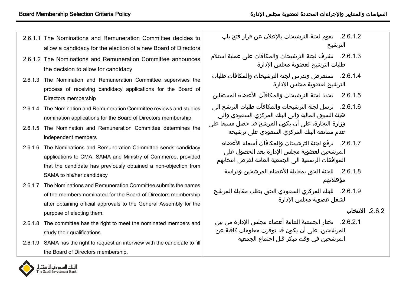- 2.6.1.1 The Nominations and Remuneration Committee decides to allow a candidacy for the election of a new Board of Directors
- 2.6.1.2 The Nominations and Remuneration Committee announces the decision to allow for candidacy
- 2.6.1.3 The Nomination and Remuneration Committee supervises the process of receiving candidacy applications for the Board of Directors membership
- 2.6.1.4 The Nomination and Remuneration Committee reviews and studies nomination applications for the Board of Directors membership
- 2.6.1.5 The Nomination and Remuneration Committee determines the independent members
- 2.6.1.6 The Nominations and Remuneration Committee sends candidacy applications to CMA, SAMA and Ministry of Commerce, provided that the candidate has previously obtained a non-objection from SAMA to his/her candidacy
- 2.6.1.7 The Nominations and Remuneration Committee submits the names of the members nominated for the Board of Directors membership after obtaining official approvals to the General Assembly for the purpose of electing them.
- 2.6.1.8 The committee has the right to meet the nominated members and study their qualifications
- 2.6.1.9 SAMA has the right to request an interview with the candidate to fill the Board of Directors membership.
- .2.6.1.2 تقوم لجنة الترشيحات باإلعالن عن قرار فتح بام الترشيح
- 2.6.1.3. تشرف لجنة الترشيحات والمكافآت على عملية استلام طلبات الترشيح لعضوية مجلس اإلدارة
- .2.6.1.4 تستعرض وتدرس لجنة الترشيحات والمكافآت طلبات الترشيح لعضوية مجلس اإلدارة
- .2.6.1.5 تحدد لجنة الترشيحات والمكافآت األعضاء المستقلين
- .2.6.1.6 ترسل لجنة الترشيحات والمكافآت طلبات الترشح الي هيئة السوق المالية والى البنك المركزي السعودي والى وزارة التجارة، على أن يكون المرشح قد حصل مسبقا على عدم ممانعة البنك المركزي السعودي على ترشيحه
	- .2.6.1.7 ترفع لجنة الترشيحات والمكافآت أسماء األعضاء المرشحين لعضوية مجلس الإدارة بعد الحصول على الموافقات الرسمية الى الجمعية العامة لغرض انتخابهم
		- .2.6.1.8 للجنة الحق بمقابلة األعضاء المرشحين ودراسة مؤهالتهم
	- 2.6.1.9. للبنك المركزي السعودي الحق بطلب مقابلة المرشح لشغل عضوية مجلس اإلدارة

# 2.6.2. الانتخاب

.2.6.2.1 تختار الجمعية العامة أعضاء مجلس اإلدارة من بين المرشحين، على أن يكون قد توفرت معلومات كافية عن المرشحين في وقن مبكر قبل اجتماع الجمعية

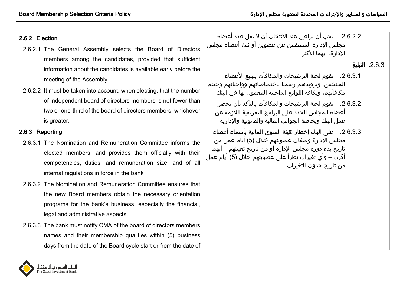#### 2.6.2 Election

- 2.6.2.1 The General Assembly selects the Board of Directors members among the candidates, provided that sufficient information about the candidates is available early before the meeting of the Assembly.
- 2.6.2.2 It must be taken into account, when electing, that the number of independent board of directors members is not fewer than two or one-third of the board of directors members, whichever is greater.

#### 2.6.3 Reporting

- 2.6.3.1 The Nomination and Remuneration Committee informs the elected members, and provides them officially with their competencies, duties, and remuneration size, and of all internal regulations in force in the bank
- 2.6.3.2 The Nomination and Remuneration Committee ensures that the new Board members obtain the necessary orientation programs for the bank's business, especially the financial, legal and administrative aspects.
- 2.6.3.3 The bank must notify CMA of the board of directors members names and their membership qualities within (5) business days from the date of the Board cycle start or from the date of

2.6.2.2. يجب أن يراعي عند الانتخاب أن لا يقل عدد أعضاء مجلس اإلدارة المستقلين عن عضوين أو ثلث أعضاء مجلس الادارة، ايهما الأكثر

## 2.6.3**. التبليغ**

- 2.6.3.1. تقوم لجنة الترشيحات والمكافآت بتبليغ الأعضاء المنتخبين، وتزويدهم رسميا باختصاصاتهم وواجباتهم وحجم مكافآتهم، وبكافة اللوائح الداخلية المعمول بها في البنك
	- .2.6.3.2 تقوم لجنة الترشيحات والمكافآت بالتأكد بأن يحصل أعضاء المجلس الجدد على البرامج التعريفية اللازمة عن عمل البنك وبخاصة الجوانب المالية والقانونية والإدارية
- .2.6.3.3 علة البنك إخطار هيئة السوق المالية بأسماء أعضاء مجلس الإدارة وصفات عضويتهم خلال (5) أيام عمل من تاريخ بدء دورة مجلس اإلدارة أو من تاريخ تعيينهم – أيهما أقرب – وأي تغيرات تطرأ على عضويتهم خلال (5) أيام عمل من تاريخ حدول التغيرات

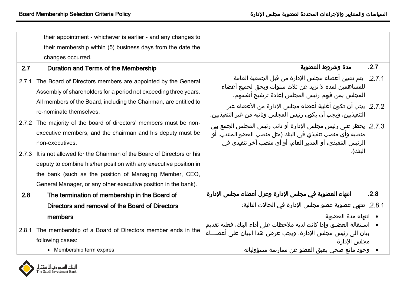<span id="page-14-2"></span><span id="page-14-0"></span>

|                | their appointment - whichever is earlier - and any changes to<br>their membership within (5) business days from the date the                                                                                                                                                                                                                         |                                                                                                                                                                                                                                                                          |
|----------------|------------------------------------------------------------------------------------------------------------------------------------------------------------------------------------------------------------------------------------------------------------------------------------------------------------------------------------------------------|--------------------------------------------------------------------------------------------------------------------------------------------------------------------------------------------------------------------------------------------------------------------------|
|                | changes occurred.                                                                                                                                                                                                                                                                                                                                    |                                                                                                                                                                                                                                                                          |
| 2.7            | Duration and Terms of the Membership                                                                                                                                                                                                                                                                                                                 | .2.7<br>مدة وشروط العضوية                                                                                                                                                                                                                                                |
| 2.7.1          | The Board of Directors members are appointed by the General<br>Assembly of shareholders for a period not exceeding three years.<br>All members of the Board, including the Chairman, are entitled to<br>re-nominate themselves.                                                                                                                      | 2.7.1.  يتم تعيين أعضاء مجلس الإدارة من قبل الجمعية العامة<br>للمساهمين لمدة لا تزيد عن ثلاث سنوات ويحق لجميع أعضاء<br>المجلس بمن فيهم رئيس المجلس إعادة ترشيح أنفسهم.<br>2.7.2. يجب أن تكون أغلبية أعضاء مجلس الإدارة من الأعضاء غير                                    |
| 2.7.2<br>2.7.3 | The majority of the board of directors' members must be non-<br>executive members, and the chairman and his deputy must be<br>non-executives.<br>It is not allowed for the Chairman of the Board of Directors or his<br>deputy to combine his/her position with any executive position in<br>the bank (such as the position of Managing Member, CEO, | التنفيذيين، ويجب أن يكون رئيس المجلس ونائبه من غير التنفيذيين.<br>2.7.3. يحظر على رئيس مجلس الإدارة أو نائب رئيس المجلس الجمع بين<br>منصبه وأي منصب تنفيذي في البنك (مثل منصب العضو المنتدب، أو<br>الرئيس التنفيذي، أو المدير العام، أو أي منصب آخر تنفيذي في<br>البنك). |
|                | General Manager, or any other executive position in the bank).                                                                                                                                                                                                                                                                                       |                                                                                                                                                                                                                                                                          |
| 2.8            | The termination of membership in the Board of                                                                                                                                                                                                                                                                                                        | انتهاء العضوية في مجلس الإدارة وعزل أعضاء مجلس الإدارة<br>.2.8                                                                                                                                                                                                           |
|                | Directors and removal of the Board of Directors                                                                                                                                                                                                                                                                                                      | 2.8.1. تنتهي عضوية عضو مجلس الإدارة في الحالات التالية:                                                                                                                                                                                                                  |
|                | members                                                                                                                                                                                                                                                                                                                                              | ● انتهاء مدة العضوية                                                                                                                                                                                                                                                     |
| 2.8.1          | The membership of a Board of Directors member ends in the<br>following cases:                                                                                                                                                                                                                                                                        | ●    اسـتقالة العضـو، وإذا كانت لديه ملاحظات على أداء البنك، فعليه تقديم<br>بيان الى رئيس مجلس الإدارة، ويجب عرض هذا البيان على اعضـــاء<br>محلس الادارة                                                                                                                 |
|                | • Membership term expires                                                                                                                                                                                                                                                                                                                            | وجود مانع صحي يعيق العضو عن ممارسة مسؤولياته                                                                                                                                                                                                                             |

<span id="page-14-3"></span><span id="page-14-1"></span>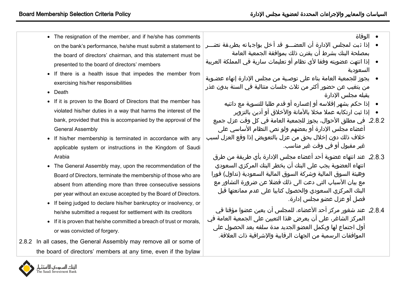- The resignation of the member, and if he/she has comments on the bank's performance, he/she must submit a statement to the board of directors' chairman, and this statement must be presented to the board of directors' members
- If there is a health issue that impedes the member from exercising his/her responsibilities
- Death
- If it is proven to the Board of Directors that the member has violated his/her duties in a way that harms the interest of the bank, provided that this is accompanied by the approval of the General Assembly
- If his/her membership is terminated in accordance with any applicable system or instructions in the Kingdom of Saudi Arabia
- The General Assembly may, upon the recommendation of the Board of Directors, terminate the membership of those who are absent from attending more than three consecutive sessions per year without an excuse accepted by the Board of Directors.
- If being judged to declare his/her bankruptcy or insolvency, or he/she submitted a request for settlement with its creditors
- If it is proven that he/she committed a breach of trust or morals, or was convicted of forgery.
- 2.8.2 In all cases, the General Assembly may remove all or some of the board of directors' members at any time, even if the bylaw
- الوفاة
- إذا ثبت لمجلس الإدارة أن العضـــو قد أخل بواجباته بطريقة تضـــر بمصلحة البنك بشرط أن يقترن ذلك بموافقة الجمعية العامة
- ﴿ إذا انتهت عضويته وفقا لأي نظام أو تعليمات سارية في المملكة العربية السعودية
- يجوز للجمعية العامة بناء على توصـية من مجلس الإدارة إنهاء عضـوبة من يتغيب عن حضور أكثر من ثلاث جلسات متتالية في السنة بدون عذر يقبله مجلس الإدارة
	- إذا حكم بشهر إفلاسه أو إعساره أو قدم طلبا للتسوية مع دائنيه
		- إذا ثبت ارتكابه عملا مخلا بالأمانة والأخلاق أو أدين بالتزوير
- 2.8.2. في مطلق الأحوال، يجوز للجمعية العامة في كل وقت عزل جميع أعضاء مجلس الإدارة أو بعضهم ولو نص النظام الأساسي على خالف ذلك دون إخالل بحق من عزل بالتعويض إذا وقع العزل لسب غير مقبول أو في وقت غير مناسب.
	- عند انتهاء عضوية أحد أعضاء مجلس اإلدارة بأي طريقة من طرق انتهاء العضوية يجب على البنك أن يخطر البنك المركزي السعودي وهيئة السوق المالية وشركة السوق المالية السعودية )تداول( فورا مع بيان الأسباب التي دعت الى ذلك فضلا عن ضرورة التشاور مع البنك المركزي السعودي والحصول كتابيا على عدم ممانعتها قبل فصل أو عزل عضو مجلس إدارة.
- 2.8.4. عند شغور مركز أحد الأعضاء، للمجلس أن يعين عضوا مؤقتا في المركز الشاغر، على أن يعرض هذا التعيين على الجمعية العامة في أول اجتماع لها ويكمل العضو الجديد مدة سلفه بعد الحصول على الموافقات الرسمية من الجهات الرقابية واإلشرافية ذات العالقة.